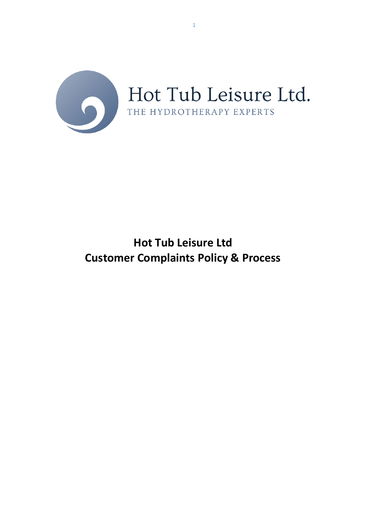

1

# **Hot Tub Leisure Ltd Customer Complaints Policy & Process**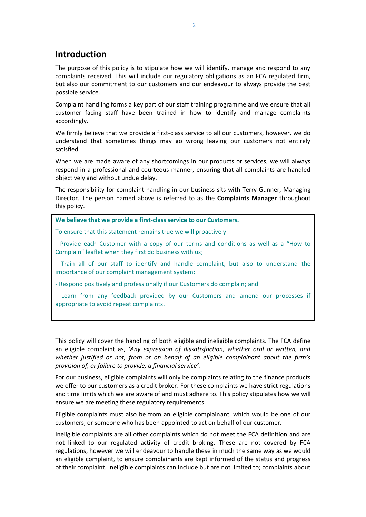# **Introduction**

The purpose of this policy is to stipulate how we will identify, manage and respond to any complaints received. This will include our regulatory obligations as an FCA regulated firm, but also our commitment to our customers and our endeavour to always provide the best possible service.

Complaint handling forms a key part of our staff training programme and we ensure that all customer facing staff have been trained in how to identify and manage complaints accordingly.

We firmly believe that we provide a first-class service to all our customers, however, we do understand that sometimes things may go wrong leaving our customers not entirely satisfied.

When we are made aware of any shortcomings in our products or services, we will always respond in a professional and courteous manner, ensuring that all complaints are handled objectively and without undue delay.

The responsibility for complaint handling in our business sits with Terry Gunner, Managing Director. The person named above is referred to as the **Complaints Manager** throughout this policy.

**We believe that we provide a first-class service to our Customers.**

To ensure that this statement remains true we will proactively:

- Provide each Customer with a copy of our terms and conditions as well as a "How to Complain" leaflet when they first do business with us;

- Train all of our staff to identify and handle complaint, but also to understand the importance of our complaint management system;

- Respond positively and professionally if our Customers do complain; and

- Learn from any feedback provided by our Customers and amend our processes if appropriate to avoid repeat complaints.

This policy will cover the handling of both eligible and ineligible complaints. The FCA define an eligible complaint as, *'Any expression of dissatisfaction, whether oral or written, and whether justified or not, from or on behalf of an eligible complainant about the firm's provision of, or failure to provide, a financial service'.*

For our business, eligible complaints will only be complaints relating to the finance products we offer to our customers as a credit broker. For these complaints we have strict regulations and time limits which we are aware of and must adhere to. This policy stipulates how we will ensure we are meeting these regulatory requirements.

Eligible complaints must also be from an eligible complainant, which would be one of our customers, or someone who has been appointed to act on behalf of our customer.

Ineligible complaints are all other complaints which do not meet the FCA definition and are not linked to our regulated activity of credit broking. These are not covered by FCA regulations, however we will endeavour to handle these in much the same way as we would an eligible complaint, to ensure complainants are kept informed of the status and progress of their complaint. Ineligible complaints can include but are not limited to; complaints about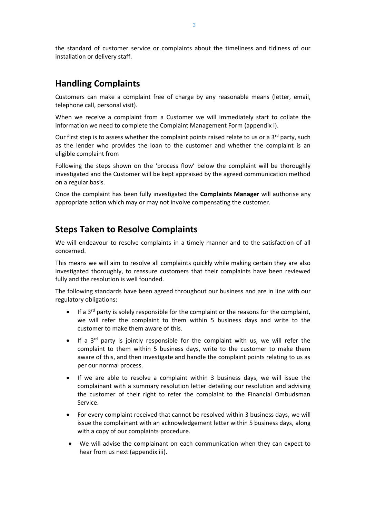the standard of customer service or complaints about the timeliness and tidiness of our installation or delivery staff.

#### **Handling Complaints**

Customers can make a complaint free of charge by any reasonable means (letter, email, telephone call, personal visit).

When we receive a complaint from a Customer we will immediately start to collate the information we need to complete the Complaint Management Form (appendix i).

Our first step is to assess whether the complaint points raised relate to us or a  $3<sup>rd</sup>$  party, such as the lender who provides the loan to the customer and whether the complaint is an eligible complaint from

Following the steps shown on the 'process flow' below the complaint will be thoroughly investigated and the Customer will be kept appraised by the agreed communication method on a regular basis.

Once the complaint has been fully investigated the **Complaints Manager** will authorise any appropriate action which may or may not involve compensating the customer.

# **Steps Taken to Resolve Complaints**

We will endeavour to resolve complaints in a timely manner and to the satisfaction of all concerned.

This means we will aim to resolve all complaints quickly while making certain they are also investigated thoroughly, to reassure customers that their complaints have been reviewed fully and the resolution is well founded.

The following standards have been agreed throughout our business and are in line with our regulatory obligations:

- If a 3rd party is solely responsible for the complaint or the reasons for the complaint, we will refer the complaint to them within 5 business days and write to the customer to make them aware of this.
- $\bullet$  If a 3<sup>rd</sup> party is jointly responsible for the complaint with us, we will refer the complaint to them within 5 business days, write to the customer to make them aware of this, and then investigate and handle the complaint points relating to us as per our normal process.
- If we are able to resolve a complaint within 3 business days, we will issue the complainant with a summary resolution letter detailing our resolution and advising the customer of their right to refer the complaint to the Financial Ombudsman Service.
- For every complaint received that cannot be resolved within 3 business days, we will issue the complainant with an acknowledgement letter within 5 business days, along with a copy of our complaints procedure.
- We will advise the complainant on each communication when they can expect to hear from us next (appendix iii).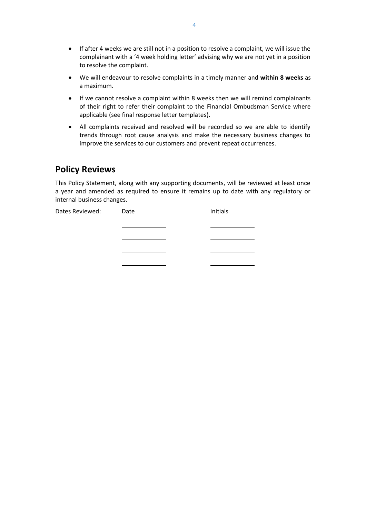- If after 4 weeks we are still not in a position to resolve a complaint, we will issue the complainant with a '4 week holding letter' advising why we are not yet in a position to resolve the complaint.
- We will endeavour to resolve complaints in a timely manner and **within 8 weeks** as a maximum.
- If we cannot resolve a complaint within 8 weeks then we will remind complainants of their right to refer their complaint to the Financial Ombudsman Service where applicable (see final response letter templates).
- All complaints received and resolved will be recorded so we are able to identify trends through root cause analysis and make the necessary business changes to improve the services to our customers and prevent repeat occurrences.

# **Policy Reviews**

This Policy Statement, along with any supporting documents, will be reviewed at least once a year and amended as required to ensure it remains up to date with any regulatory or internal business changes.

| Dates Reviewed: | Date | Initials |
|-----------------|------|----------|
|                 |      |          |
|                 |      |          |
|                 |      |          |
|                 |      |          |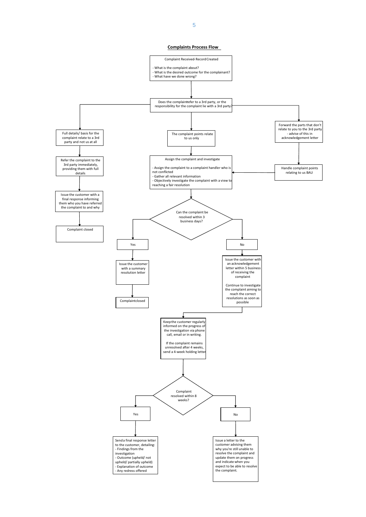

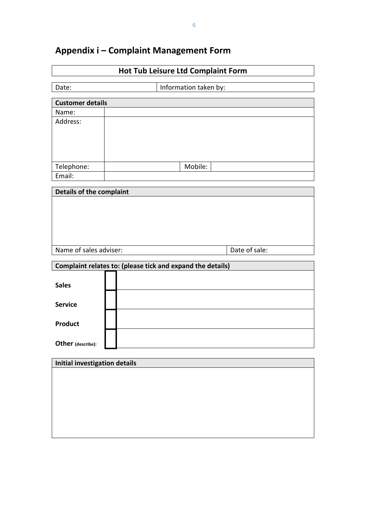| Appendix i - Complaint Management Form |
|----------------------------------------|
|----------------------------------------|

| <b>Hot Tub Leisure Ltd Complaint Form</b> |                                                            |  |  |  |
|-------------------------------------------|------------------------------------------------------------|--|--|--|
| Date:                                     | Information taken by:                                      |  |  |  |
| <b>Customer details</b>                   |                                                            |  |  |  |
| Name:                                     |                                                            |  |  |  |
| Address:                                  |                                                            |  |  |  |
|                                           |                                                            |  |  |  |
|                                           |                                                            |  |  |  |
| Telephone:                                | Mobile:                                                    |  |  |  |
| Email:                                    |                                                            |  |  |  |
| <b>Details of the complaint</b>           |                                                            |  |  |  |
|                                           |                                                            |  |  |  |
|                                           |                                                            |  |  |  |
|                                           |                                                            |  |  |  |
|                                           |                                                            |  |  |  |
| Name of sales adviser:                    | Date of sale:                                              |  |  |  |
|                                           |                                                            |  |  |  |
|                                           | Complaint relates to: (please tick and expand the details) |  |  |  |
| <b>Sales</b>                              |                                                            |  |  |  |
| <b>Service</b>                            |                                                            |  |  |  |
|                                           |                                                            |  |  |  |
| Product                                   |                                                            |  |  |  |
| Other (describe):                         |                                                            |  |  |  |
|                                           |                                                            |  |  |  |
| <b>Initial investigation details</b>      |                                                            |  |  |  |
|                                           |                                                            |  |  |  |
|                                           |                                                            |  |  |  |
|                                           |                                                            |  |  |  |
|                                           |                                                            |  |  |  |
|                                           |                                                            |  |  |  |
|                                           |                                                            |  |  |  |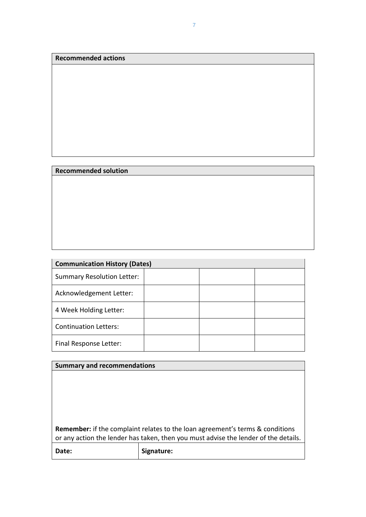**Recommended actions**

#### **Recommended solution**

| <b>Communication History (Dates)</b> |  |  |  |
|--------------------------------------|--|--|--|
| <b>Summary Resolution Letter:</b>    |  |  |  |
| Acknowledgement Letter:              |  |  |  |
| 4 Week Holding Letter:               |  |  |  |
| <b>Continuation Letters:</b>         |  |  |  |
| Final Response Letter:               |  |  |  |

| <b>Summary and recommendations</b>                                                                                                                                          |            |  |
|-----------------------------------------------------------------------------------------------------------------------------------------------------------------------------|------------|--|
|                                                                                                                                                                             |            |  |
|                                                                                                                                                                             |            |  |
|                                                                                                                                                                             |            |  |
|                                                                                                                                                                             |            |  |
|                                                                                                                                                                             |            |  |
| <b>Remember:</b> if the complaint relates to the loan agreement's terms & conditions<br>or any action the lender has taken, then you must advise the lender of the details. |            |  |
| Date:                                                                                                                                                                       | Signature: |  |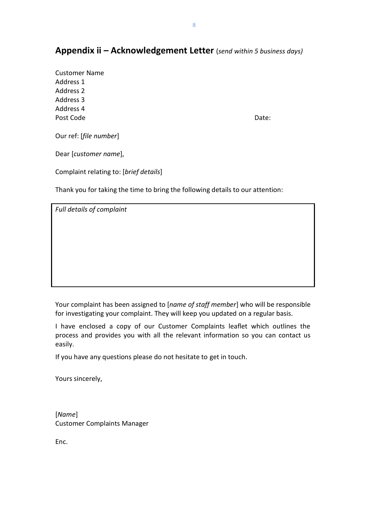#### **Appendix ii – Acknowledgement Letter** (*send within 5 business days)*

Customer Name Address 1 Address 2 Address 3 Address 4 Post Code Date:

Our ref: [*file number*]

Dear [*customer name*],

Complaint relating to: [*brief details*]

Thank you for taking the time to bring the following details to our attention:

*Full details of complaint*

Your complaint has been assigned to [*name of staff member*] who will be responsible for investigating your complaint. They will keep you updated on a regular basis.

I have enclosed a copy of our Customer Complaints leaflet which outlines the process and provides you with all the relevant information so you can contact us easily.

If you have any questions please do not hesitate to get in touch.

Yours sincerely,

[*Name*] Customer Complaints Manager

Enc.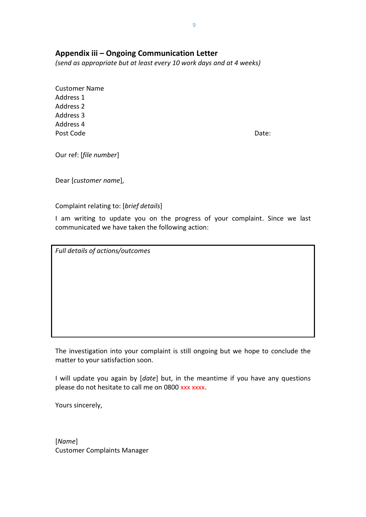#### **Appendix iii – Ongoing Communication Letter**

*(send as appropriate but at least every 10 work days and at 4 weeks)*

Customer Name Address 1 Address 2 Address 3 Address 4 Post Code Date:

Our ref: [*file number*]

Dear [*customer name*],

Complaint relating to: [*brief details*]

I am writing to update you on the progress of your complaint. Since we last communicated we have taken the following action:

*Full details of actions/outcomes*

The investigation into your complaint is still ongoing but we hope to conclude the matter to your satisfaction soon.

I will update you again by [*date*] but, in the meantime if you have any questions please do not hesitate to call me on 0800 xxx xxxx.

Yours sincerely,

[*Name*] Customer Complaints Manager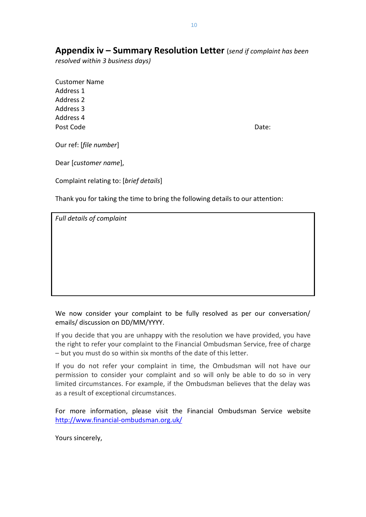**Appendix iv – Summary Resolution Letter** (*send if complaint has been* 

*resolved within 3 business days)*

Customer Name Address 1 Address 2 Address 3 Address 4 Post Code **Date:** Date:

Our ref: [*file number*]

Dear [*customer name*],

Complaint relating to: [*brief details*]

Thank you for taking the time to bring the following details to our attention:

*Full details of complaint*

We now consider your complaint to be fully resolved as per our conversation/ emails/ discussion on DD/MM/YYYY.

If you decide that you are unhappy with the resolution we have provided, you have the right to refer your complaint to the Financial Ombudsman Service, free of charge – but you must do so within six months of the date of this letter.

If you do not refer your complaint in time, the Ombudsman will not have our permission to consider your complaint and so will only be able to do so in very limited circumstances. For example, if the Ombudsman believes that the delay was as a result of exceptional circumstances.

For more information, please visit the Financial Ombudsman Service website <http://www.financial-ombudsman.org.uk/>

Yours sincerely,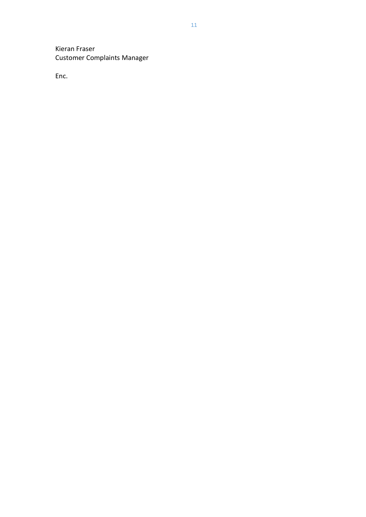Kieran Fraser Customer Complaints Manager

Enc.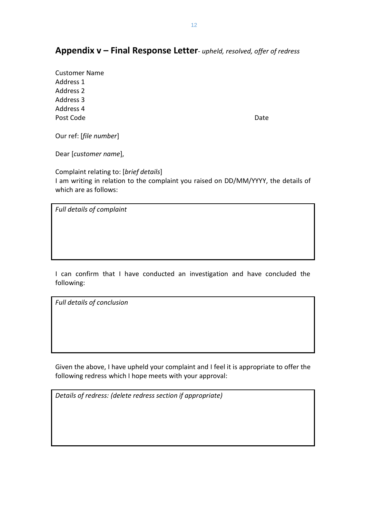#### **Appendix v – Final Response Letter***- upheld, resolved, offer of redress*

Customer Name Address 1 Address 2 Address 3 Address 4 Post Code Date Date Date

Our ref: [*file number*]

Dear [*customer name*],

Complaint relating to: [*brief details*] I am writing in relation to the complaint you raised on DD/MM/YYYY, the details of which are as follows:

*Full details of complaint*

I can confirm that I have conducted an investigation and have concluded the following:

*Full details of conclusion*

Given the above, I have upheld your complaint and I feel it is appropriate to offer the following redress which I hope meets with your approval:

*Details of redress: (delete redress section if appropriate)*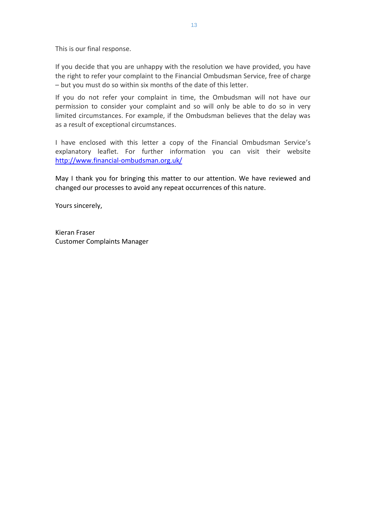This is our final response.

If you decide that you are unhappy with the resolution we have provided, you have the right to refer your complaint to the Financial Ombudsman Service, free of charge – but you must do so within six months of the date of this letter.

If you do not refer your complaint in time, the Ombudsman will not have our permission to consider your complaint and so will only be able to do so in very limited circumstances. For example, if the Ombudsman believes that the delay was as a result of exceptional circumstances.

I have enclosed with this letter a copy of the Financial Ombudsman Service's explanatory leaflet. For further information you can visit their website <http://www.financial-ombudsman.org.uk/>

May I thank you for bringing this matter to our attention. We have reviewed and changed our processes to avoid any repeat occurrences of this nature.

Yours sincerely,

Kieran Fraser Customer Complaints Manager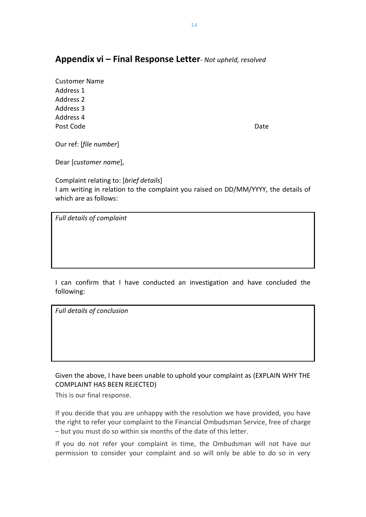## **Appendix vi – Final Response Letter***- Not upheld, resolved*

Customer Name Address 1 Address 2 Address 3 Address 4 Post Code Date Date Date Date Date

Our ref: [*file number*]

Dear [*customer name*],

Complaint relating to: [*brief details*] I am writing in relation to the complaint you raised on DD/MM/YYYY, the details of which are as follows:

*Full details of complaint*

I can confirm that I have conducted an investigation and have concluded the following:

*Full details of conclusion*

Given the above, I have been unable to uphold your complaint as (EXPLAIN WHY THE COMPLAINT HAS BEEN REJECTED)

This is our final response.

If you decide that you are unhappy with the resolution we have provided, you have the right to refer your complaint to the Financial Ombudsman Service, free of charge – but you must do so within six months of the date of this letter.

If you do not refer your complaint in time, the Ombudsman will not have our permission to consider your complaint and so will only be able to do so in very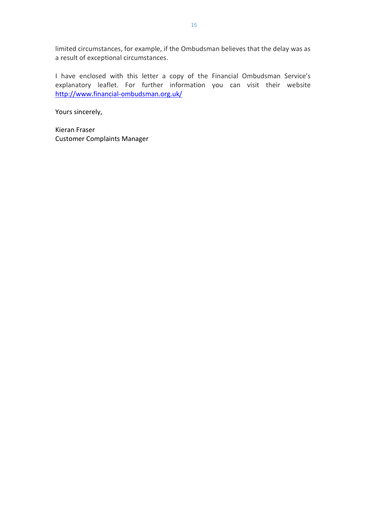limited circumstances, for example, if the Ombudsman believes that the delay was as a result of exceptional circumstances.

I have enclosed with this letter a copy of the Financial Ombudsman Service's explanatory leaflet. For further information you can visit their website <http://www.financial-ombudsman.org.uk/>

Yours sincerely,

Kieran Fraser Customer Complaints Manager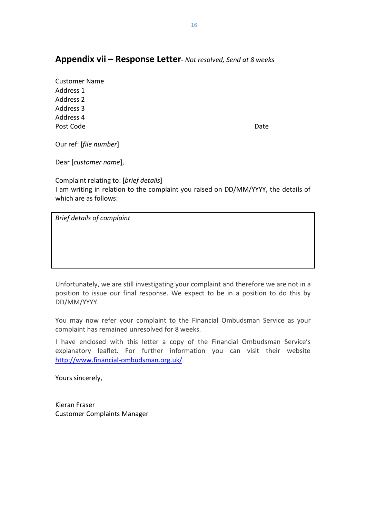#### **Appendix vii – Response Letter***- Not resolved, Send at 8 weeks*

Customer Name Address 1 Address 2 Address 3 Address 4 Post Code Date Date Date

Our ref: [*file number*]

Dear [*customer name*],

Complaint relating to: [*brief details*] I am writing in relation to the complaint you raised on DD/MM/YYYY, the details of which are as follows:

*Brief details of complaint*

Unfortunately, we are still investigating your complaint and therefore we are not in a position to issue our final response. We expect to be in a position to do this by DD/MM/YYYY.

You may now refer your complaint to the Financial Ombudsman Service as your complaint has remained unresolved for 8 weeks.

I have enclosed with this letter a copy of the Financial Ombudsman Service's explanatory leaflet. For further information you can visit their website <http://www.financial-ombudsman.org.uk/>

Yours sincerely,

Kieran Fraser Customer Complaints Manager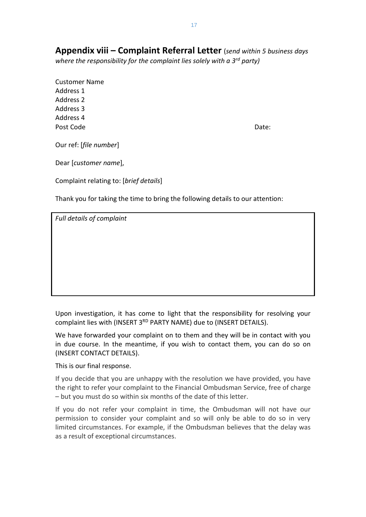**Appendix viii – Complaint Referral Letter** (*send within 5 business days where the responsibility for the complaint lies solely with a 3rd party)*

Customer Name Address 1 Address 2 Address 3 Address 4 Post Code **Date:** Date: **Date:** Date: **Date:** Date: **Date:** Date: **Date:** Date: **Date:** Date: **Date: Date: Date: Date: Date: 0.000** 

Our ref: [*file number*]

Dear [*customer name*],

Complaint relating to: [*brief details*]

Thank you for taking the time to bring the following details to our attention:

*Full details of complaint*

Upon investigation, it has come to light that the responsibility for resolving your complaint lies with (INSERT 3<sup>RD</sup> PARTY NAME) due to (INSERT DETAILS).

We have forwarded your complaint on to them and they will be in contact with you in due course. In the meantime, if you wish to contact them, you can do so on (INSERT CONTACT DETAILS).

This is our final response.

If you decide that you are unhappy with the resolution we have provided, you have the right to refer your complaint to the Financial Ombudsman Service, free of charge – but you must do so within six months of the date of this letter.

If you do not refer your complaint in time, the Ombudsman will not have our permission to consider your complaint and so will only be able to do so in very limited circumstances. For example, if the Ombudsman believes that the delay was as a result of exceptional circumstances.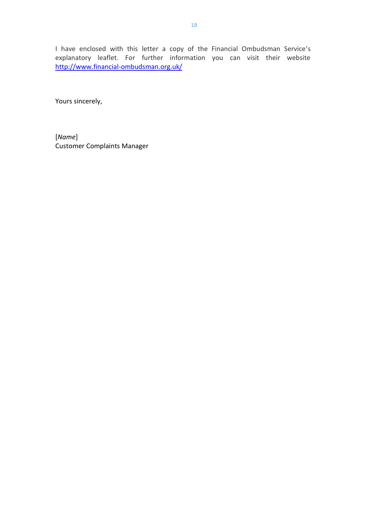I have enclosed with this letter a copy of the Financial Ombudsman Service's explanatory leaflet. For further information you can visit their website <http://www.financial-ombudsman.org.uk/>

Yours sincerely,

[*Name*] Customer Complaints Manager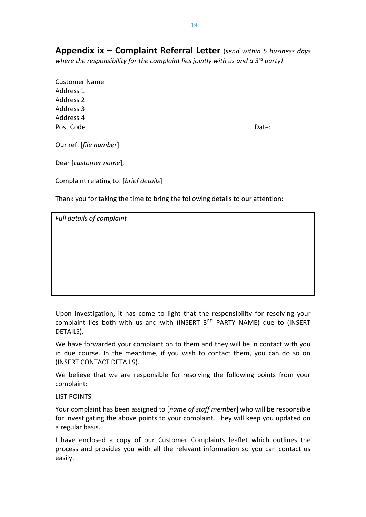**Appendix ix – Complaint Referral Letter** (*send within 5 business days where the responsibility for the complaint lies jointly with us and a 3rd party)*

Customer Name Address 1 Address 2 Address 3 Address 4 Post Code **Date:** Date:

Our ref: [*file number*]

Dear [*customer name*],

Complaint relating to: [*brief details*]

Thank you for taking the time to bring the following details to our attention:

*Full details of complaint*

Upon investigation, it has come to light that the responsibility for resolving your complaint lies both with us and with (INSERT  $3<sup>RD</sup>$  PARTY NAME) due to (INSERT DETAILS).

We have forwarded your complaint on to them and they will be in contact with you in due course. In the meantime, if you wish to contact them, you can do so on (INSERT CONTACT DETAILS).

We believe that we are responsible for resolving the following points from your complaint:

#### LIST POINTS

Your complaint has been assigned to [*name of staff member*] who will be responsible for investigating the above points to your complaint. They will keep you updated on a regular basis.

I have enclosed a copy of our Customer Complaints leaflet which outlines the process and provides you with all the relevant information so you can contact us easily.